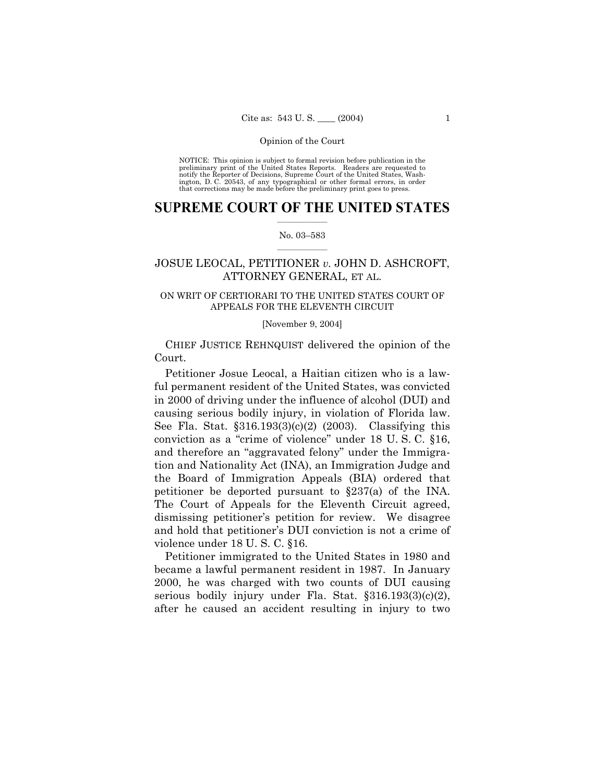NOTICE: This opinion is subject to formal revision before publication in the preliminary print of the United States Reports. Readers are requested to notify the Reporter of Decisions, Supreme Court of the United States, Washington, D. C. 20543, of any typographical or other formal errors, in order that corrections may be made before the preliminary print goes to press.

# **SUPREME COURT OF THE UNITED STATES**  $\frac{1}{2}$  ,  $\frac{1}{2}$  ,  $\frac{1}{2}$  ,  $\frac{1}{2}$  ,  $\frac{1}{2}$  ,  $\frac{1}{2}$  ,  $\frac{1}{2}$

# No. 03-583  $\mathcal{L}=\mathcal{L}$

# JOSUE LEOCAL, PETITIONER *v.* JOHN D. ASHCROFT, ATTORNEY GENERAL, ET AL.

# ON WRIT OF CERTIORARI TO THE UNITED STATES COURT OF APPEALS FOR THE ELEVENTH CIRCUIT

# [November 9, 2004]

 CHIEF JUSTICE REHNQUIST delivered the opinion of the Court.

 Petitioner Josue Leocal, a Haitian citizen who is a lawful permanent resident of the United States, was convicted in 2000 of driving under the influence of alcohol (DUI) and causing serious bodily injury, in violation of Florida law. See Fla. Stat. ß316.193(3)(c)(2) (2003). Classifying this conviction as a "crime of violence" under  $18$  U.S.C.  $§16$ , and therefore an "aggravated felony" under the Immigration and Nationality Act (INA), an Immigration Judge and the Board of Immigration Appeals (BIA) ordered that petitioner be deported pursuant to ß237(a) of the INA. The Court of Appeals for the Eleventh Circuit agreed, dismissing petitioner's petition for review. We disagree and hold that petitioner's DUI conviction is not a crime of violence under 18 U. S. C. ß16.

 Petitioner immigrated to the United States in 1980 and became a lawful permanent resident in 1987. In January 2000, he was charged with two counts of DUI causing serious bodily injury under Fla. Stat.  $$316.193(3)(c)(2),$ after he caused an accident resulting in injury to two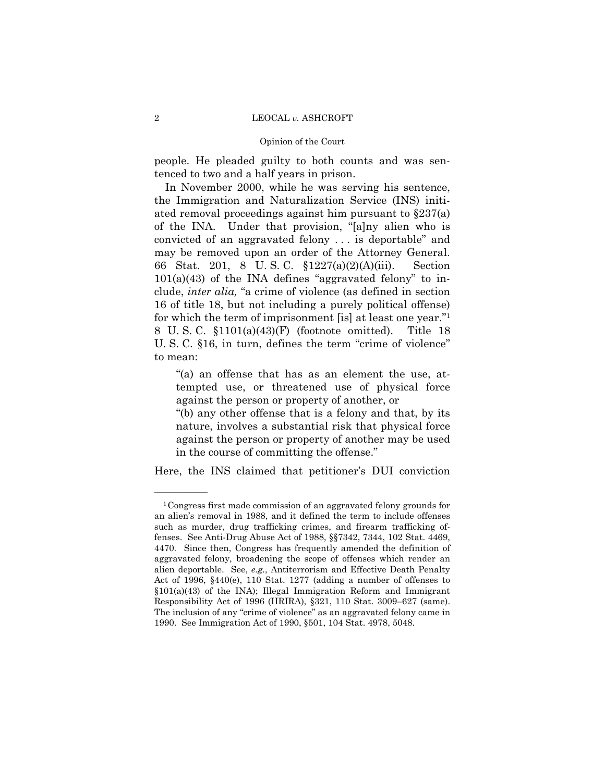# Opinion of the Court

people. He pleaded guilty to both counts and was sentenced to two and a half years in prison.

 In November 2000, while he was serving his sentence, the Immigration and Naturalization Service (INS) initiated removal proceedings against him pursuant to ß237(a) of the INA. Under that provision, "[a]ny alien who is convicted of an aggravated felony  $\ldots$  is deportable" and may be removed upon an order of the Attorney General. 66 Stat. 201, 8 U. S. C. ß1227(a)(2)(A)(iii). Section  $101(a)(43)$  of the INA defines "aggravated felony" to include, *inter alia*, "a crime of violence (as defined in section 16 of title 18, but not including a purely political offense) for which the term of imprisonment [is] at least one year." $1$ 8 U. S. C. ß1101(a)(43)(F) (footnote omitted). Title 18 U. S. C.  $$16$ , in turn, defines the term "crime of violence" to mean:

ì(a) an offense that has as an element the use, attempted use, or threatened use of physical force against the person or property of another, or

ì(b) any other offense that is a felony and that, by its nature, involves a substantial risk that physical force against the person or property of another may be used in the course of committing the offense."

Here, the INS claimed that petitioner's DUI conviction

<sup>1</sup>Congress first made commission of an aggravated felony grounds for an alienís removal in 1988, and it defined the term to include offenses such as murder, drug trafficking crimes, and firearm trafficking offenses. See Anti-Drug Abuse Act of 1988, ßß7342, 7344, 102 Stat. 4469, 4470. Since then, Congress has frequently amended the definition of aggravated felony, broadening the scope of offenses which render an alien deportable. See, *e.g.*, Antiterrorism and Effective Death Penalty Act of 1996, ß440(e), 110 Stat. 1277 (adding a number of offenses to  $$101(a)(43)$  of the INA); Illegal Immigration Reform and Immigrant Responsibility Act of 1996 (IIRIRA), §321, 110 Stat. 3009–627 (same). The inclusion of any "crime of violence" as an aggravated felony came in 1990. See Immigration Act of 1990, ß501, 104 Stat. 4978, 5048.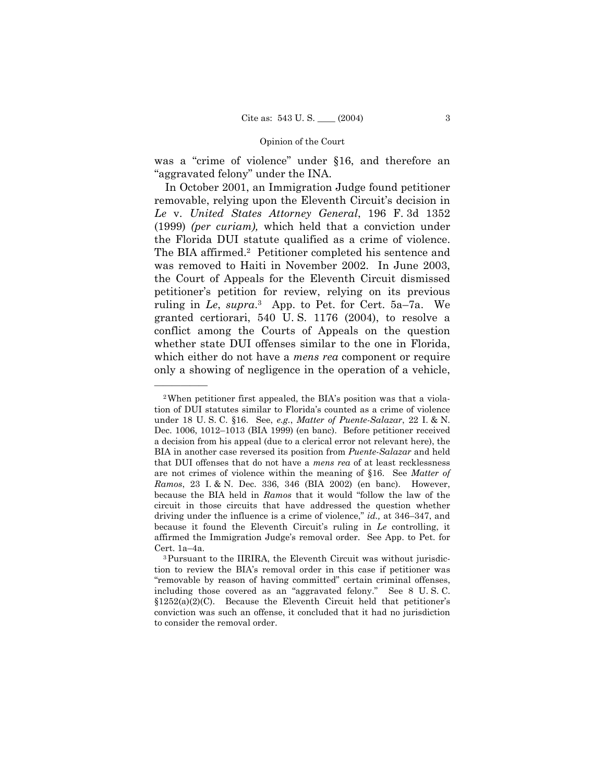was a "crime of violence" under §16, and therefore an "aggravated felony" under the INA.

 In October 2001, an Immigration Judge found petitioner removable, relying upon the Eleventh Circuit's decision in *Le* v. *United States Attorney General*, 196 F. 3d 1352 (1999) *(per curiam),* which held that a conviction under the Florida DUI statute qualified as a crime of violence. The BIA affirmed.2 Petitioner completed his sentence and was removed to Haiti in November 2002. In June 2003, the Court of Appeals for the Eleventh Circuit dismissed petitionerís petition for review, relying on its previous ruling in *Le*, *supra*.<sup>3</sup> App. to Pet. for Cert. 5a–7a. We granted certiorari, 540 U. S. 1176 (2004), to resolve a conflict among the Courts of Appeals on the question whether state DUI offenses similar to the one in Florida, which either do not have a *mens rea* component or require only a showing of negligence in the operation of a vehicle,

<sup>&</sup>lt;sup>2</sup>When petitioner first appealed, the BIA's position was that a violation of DUI statutes similar to Floridaís counted as a crime of violence under 18 U. S. C. ß16. See, *e.g.*, *Matter of Puente-Salazar*, 22 I. & N. Dec. 1006, 1012–1013 (BIA 1999) (en banc). Before petitioner received a decision from his appeal (due to a clerical error not relevant here), the BIA in another case reversed its position from *Puente-Salazar* and held that DUI offenses that do not have a *mens rea* of at least recklessness are not crimes of violence within the meaning of ß16. See *Matter of Ramos*, 23 I. & N. Dec. 336, 346 (BIA 2002) (en banc). However, because the BIA held in *Ramos* that it would "follow the law of the circuit in those circuits that have addressed the question whether driving under the influence is a crime of violence," *id.*, at 346–347, and because it found the Eleventh Circuit's ruling in *Le* controlling, it affirmed the Immigration Judge's removal order. See App. to Pet. for Cert.  $1a-4a$ .

<sup>3</sup>Pursuant to the IIRIRA, the Eleventh Circuit was without jurisdiction to review the BIAís removal order in this case if petitioner was "removable by reason of having committed" certain criminal offenses, including those covered as an "aggravated felony." See 8 U.S.C.  $$1252(a)(2)(C)$ . Because the Eleventh Circuit held that petitioner's conviction was such an offense, it concluded that it had no jurisdiction to consider the removal order.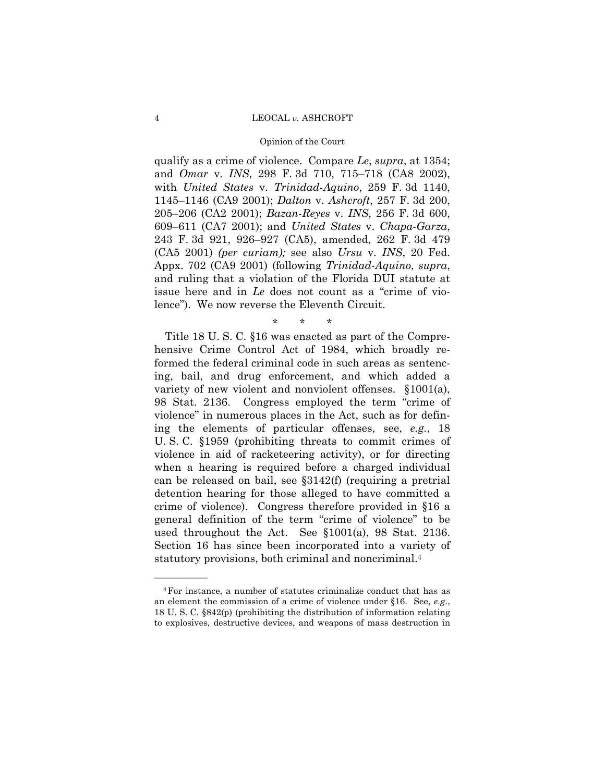#### Opinion of the Court

qualify as a crime of violence. Compare *Le*, *supra*, at 1354; and *Omar* v. *INS*, 298 F. 3d 710, 715-718 (CA8 2002), with *United States* v. *Trinidad-Aquino*, 259 F. 3d 1140, 1145–1146 (CA9 2001); *Dalton* v. *Ashcroft*, 257 F. 3d 200, 205–206 (CA2 2001); *Bazan-Reyes* v. *INS*, 256 F. 3d 600, 609–611 (CA7 2001); and *United States* v. *Chapa-Garza*, 243 F. 3d 921, 926–927 (CA5), amended, 262 F. 3d 479 (CA5 2001) *(per curiam);* see also *Ursu* v. *INS*, 20 Fed. Appx. 702 (CA9 2001) (following *Trinidad-Aquino*, *supra*, and ruling that a violation of the Florida DUI statute at issue here and in *Le* does not count as a "crime of violence"). We now reverse the Eleventh Circuit.

# \* \* \*

 Title 18 U. S. C. ß16 was enacted as part of the Comprehensive Crime Control Act of 1984, which broadly reformed the federal criminal code in such areas as sentencing, bail, and drug enforcement, and which added a variety of new violent and nonviolent offenses.  $§1001(a)$ , 98 Stat. 2136. Congress employed the term "crime of violence" in numerous places in the Act, such as for defining the elements of particular offenses, see, *e.g.*, 18 U. S. C. ß1959 (prohibiting threats to commit crimes of violence in aid of racketeering activity), or for directing when a hearing is required before a charged individual can be released on bail, see ß3142(f) (requiring a pretrial detention hearing for those alleged to have committed a crime of violence). Congress therefore provided in ß16 a general definition of the term "crime of violence" to be used throughout the Act. See ß1001(a), 98 Stat. 2136. Section 16 has since been incorporated into a variety of statutory provisions, both criminal and noncriminal.4

<sup>4</sup>For instance, a number of statutes criminalize conduct that has as an element the commission of a crime of violence under ß16. See, *e.g.*, 18 U. S. C. ß842(p) (prohibiting the distribution of information relating to explosives, destructive devices, and weapons of mass destruction in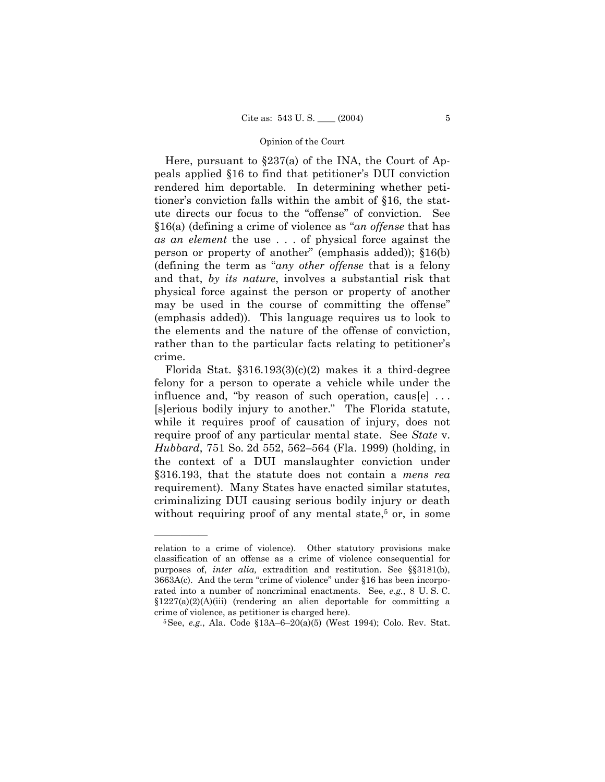Here, pursuant to  $\S 237(a)$  of the INA, the Court of Appeals applied §16 to find that petitioner's DUI conviction rendered him deportable. In determining whether petitioner's conviction falls within the ambit of §16, the statute directs our focus to the "offense" of conviction. See §16(a) (defining a crime of violence as *<sup><i>an*</sup> offense that has *as an element* the use . . . of physical force against the person or property of another" (emphasis added));  $$16(b)$ (defining the term as "*any other offense* that is a felony and that, *by its nature*, involves a substantial risk that physical force against the person or property of another may be used in the course of committing the offense<sup>"</sup> (emphasis added)). This language requires us to look to the elements and the nature of the offense of conviction, rather than to the particular facts relating to petitioner's crime.

Florida Stat.  $$316.193(3)(c)(2)$  makes it a third-degree felony for a person to operate a vehicle while under the influence and, "by reason of such operation, caus[e]  $\dots$ [s]erious bodily injury to another." The Florida statute, while it requires proof of causation of injury, does not require proof of any particular mental state. See *State* v. *Hubbard*, 751 So. 2d 552, 562–564 (Fla. 1999) (holding, in the context of a DUI manslaughter conviction under ß316.193, that the statute does not contain a *mens rea* requirement). Many States have enacted similar statutes, criminalizing DUI causing serious bodily injury or death without requiring proof of any mental state,<sup>5</sup> or, in some

relation to a crime of violence). Other statutory provisions make classification of an offense as a crime of violence consequential for purposes of, *inter alia,* extradition and restitution. See ßß3181(b),  $3663A(c)$ . And the term "crime of violence" under §16 has been incorporated into a number of noncriminal enactments. See, *e.g.*, 8 U. S. C.  $$1227(a)(2)(A)(iii)$  (rendering an alien deportable for committing a crime of violence, as petitioner is charged here).<br><sup>5</sup>See, *e.g.*, Ala. Code §13A–6–20(a)(5) (West 1994); Colo. Rev. Stat.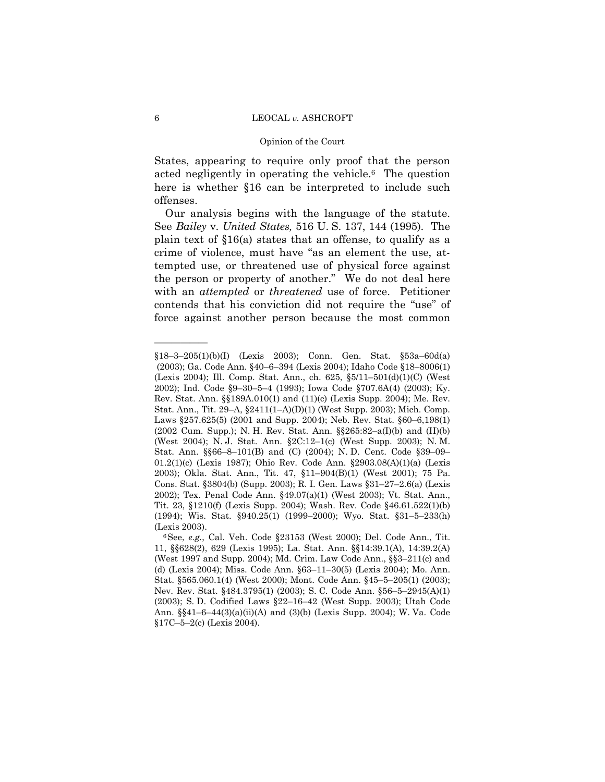#### Opinion of the Court

States, appearing to require only proof that the person acted negligently in operating the vehicle.6 The question here is whether §16 can be interpreted to include such offenses.

 Our analysis begins with the language of the statute. See *Bailey* v. *United States,* 516 U. S. 137, 144 (1995). The plain text of ß16(a) states that an offense, to qualify as a crime of violence, must have "as an element the use, attempted use, or threatened use of physical force against the person or property of another." We do not deal here with an *attempted* or *threatened* use of force. Petitioner contends that his conviction did not require the "use" of force against another person because the most common

<sup>§18−3−205(1)(</sup>b)(I) (Lexis 2003); Conn. Gen. Stat. §53a–60d(a) (2003); Ga. Code Ann. §40-6-394 (Lexis 2004); Idaho Code §18-8006(1) (Lexis 2004); Ill. Comp. Stat. Ann., ch. 625,  $\S5/11-501(d)(1)(C)$  (West 2002); Ind. Code  $\S9-30-5-4$  (1993); Iowa Code  $\S707.6A(4)$  (2003); Ky. Rev. Stat. Ann. ßß189A.010(1) and (11)(c) (Lexis Supp. 2004); Me. Rev. Stat. Ann., Tit. 29–A,  $$2411(1–A)(D)(1)$  (West Supp. 2003); Mich. Comp. Laws  $\S 257.625(5)$  (2001 and Supp. 2004); Neb. Rev. Stat.  $\S 60-6,198(1)$ (2002 Cum. Supp.); N. H. Rev. Stat. Ann.  $\S$ 265:82–a(I)(b) and (II)(b) (West 2004); N. J. Stat. Ann. §2C:12-1(c) (West Supp. 2003); N. M. Stat. Ann. §§66-8-101(B) and (C) (2004); N. D. Cent. Code §39-09-01.2(1)(c) (Lexis 1987); Ohio Rev. Code Ann. ß2903.08(A)(1)(a) (Lexis 2003); Okla. Stat. Ann., Tit. 47, §11-904(B)(1) (West 2001); 75 Pa. Cons. Stat. §3804(b) (Supp. 2003); R. I. Gen. Laws §31–27–2.6(a) (Lexis 2002); Tex. Penal Code Ann. ß49.07(a)(1) (West 2003); Vt. Stat. Ann., Tit. 23, ß1210(f) (Lexis Supp. 2004); Wash. Rev. Code ß46.61.522(1)(b) (1994); Wis. Stat. §940.25(1) (1999-2000); Wyo. Stat. §31-5-233(h)

<sup>(</sup>Lexis 2003).<br><sup>6</sup>See, *e.g.*, Cal. Veh. Code §23153 (West 2000); Del. Code Ann., Tit. 11, ßß628(2), 629 (Lexis 1995); La. Stat. Ann. ßß14:39.1(A), 14:39.2(A) (West 1997 and Supp. 2004); Md. Crim. Law Code Ann.,  $\S$ §3-211(c) and (d) (Lexis 2004); Miss. Code Ann. §63–11–30(5) (Lexis 2004); Mo. Ann. Stat.  $$565.060.1(4)$  (West 2000); Mont. Code Ann.  $$45-5-205(1)$  (2003); Nev. Rev. Stat. §484.3795(1) (2003); S. C. Code Ann. §56–5–2945(A)(1) (2003); S. D. Codified Laws  $\S22-16-42$  (West Supp. 2003); Utah Code Ann. §§41-6-44(3)(a)(ii)(A) and (3)(b) (Lexis Supp. 2004); W. Va. Code  $$17C-5-2(c)$  (Lexis 2004).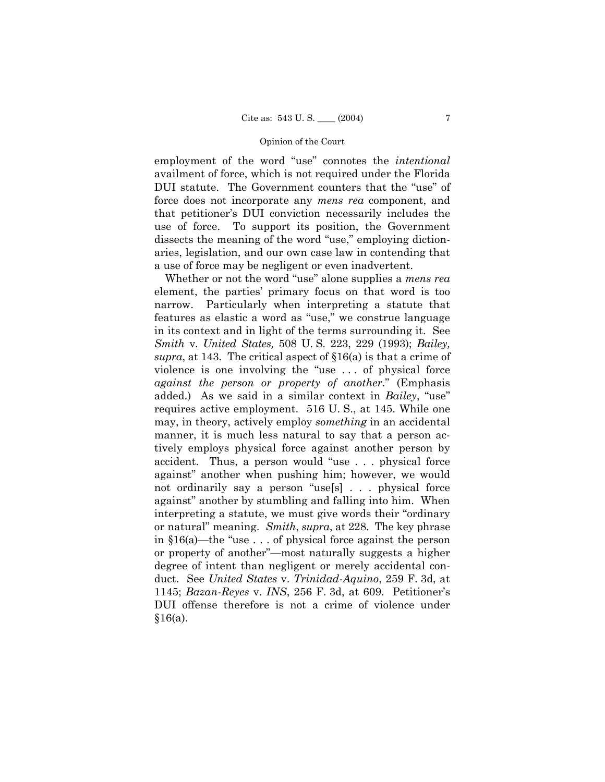employment of the word "use" connotes the *intentional* availment of force, which is not required under the Florida DUI statute. The Government counters that the "use" of force does not incorporate any *mens rea* component, and that petitionerís DUI conviction necessarily includes the use of force. To support its position, the Government dissects the meaning of the word "use," employing dictionaries, legislation, and our own case law in contending that a use of force may be negligent or even inadvertent.

Whether or not the word "use" alone supplies a *mens rea* element, the partiesí primary focus on that word is too narrow. Particularly when interpreting a statute that features as elastic a word as "use," we construe language in its context and in light of the terms surrounding it. See *Smith* v. *United States,* 508 U. S. 223, 229 (1993); *Bailey, supra*, at 143. The critical aspect of  $\S16(a)$  is that a crime of violence is one involving the "use  $\ldots$  of physical force *against the person or property of another*.î (Emphasis added.) As we said in a similar context in *Bailey*, "use" requires active employment. 516 U. S., at 145. While one may, in theory, actively employ *something* in an accidental manner, it is much less natural to say that a person actively employs physical force against another person by accident. Thus, a person would "use  $\ldots$  physical force against" another when pushing him; however, we would not ordinarily say a person "use[s]  $\ldots$  physical force against" another by stumbling and falling into him. When interpreting a statute, we must give words their "ordinary" or naturalî meaning. *Smith*, *supra*, at 228. The key phrase in  $$16(a)$ —the "use . . . of physical force against the person or property of another<sup>"</sup>—most naturally suggests a higher degree of intent than negligent or merely accidental conduct. See *United States* v. *Trinidad-Aquino*, 259 F. 3d, at 1145; *Bazan-Reyes* v. *INS*, 256 F. 3d, at 609. Petitionerís DUI offense therefore is not a crime of violence under  $§16(a).$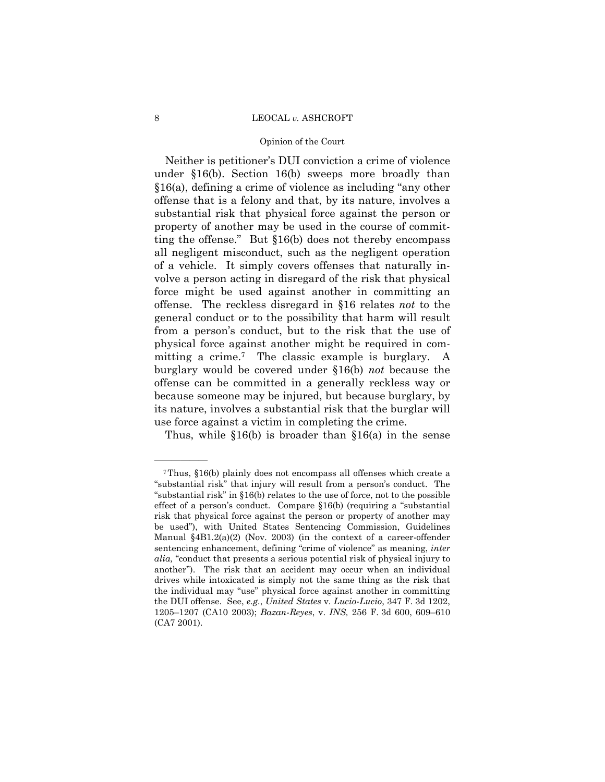# Opinion of the Court

Neither is petitioner's DUI conviction a crime of violence under ß16(b). Section 16(b) sweeps more broadly than  $§16(a)$ , defining a crime of violence as including "any other offense that is a felony and that, by its nature, involves a substantial risk that physical force against the person or property of another may be used in the course of committing the offense." But  $$16(b)$  does not thereby encompass all negligent misconduct, such as the negligent operation of a vehicle. It simply covers offenses that naturally involve a person acting in disregard of the risk that physical force might be used against another in committing an offense. The reckless disregard in ß16 relates *not* to the general conduct or to the possibility that harm will result from a personís conduct, but to the risk that the use of physical force against another might be required in committing a crime.<sup>7</sup> The classic example is burglary. A burglary would be covered under ß16(b) *not* because the offense can be committed in a generally reckless way or because someone may be injured, but because burglary, by its nature, involves a substantial risk that the burglar will use force against a victim in completing the crime.

Thus, while  $$16(b)$  is broader than  $$16(a)$  in the sense

<sup>7</sup>Thus, ß16(b) plainly does not encompass all offenses which create a "substantial risk" that injury will result from a person's conduct. The "substantial risk" in  $$16(b)$  relates to the use of force, not to the possible effect of a person's conduct. Compare  $§16(b)$  (requiring a "substantial risk that physical force against the person or property of another may be used"), with United States Sentencing Commission, Guidelines Manual ß4B1.2(a)(2) (Nov. 2003) (in the context of a career-offender sentencing enhancement, defining "crime of violence" as meaning, *inter alia*, "conduct that presents a serious potential risk of physical injury to another"). The risk that an accident may occur when an individual drives while intoxicated is simply not the same thing as the risk that the individual may "use" physical force against another in committing the DUI offense. See, *e.g.*, *United States* v. *Lucio-Lucio*, 347 F. 3d 1202, 1205-1207 (CA10 2003); *Bazan-Reyes*, v. *INS*, 256 F. 3d 600, 609-610 (CA7 2001).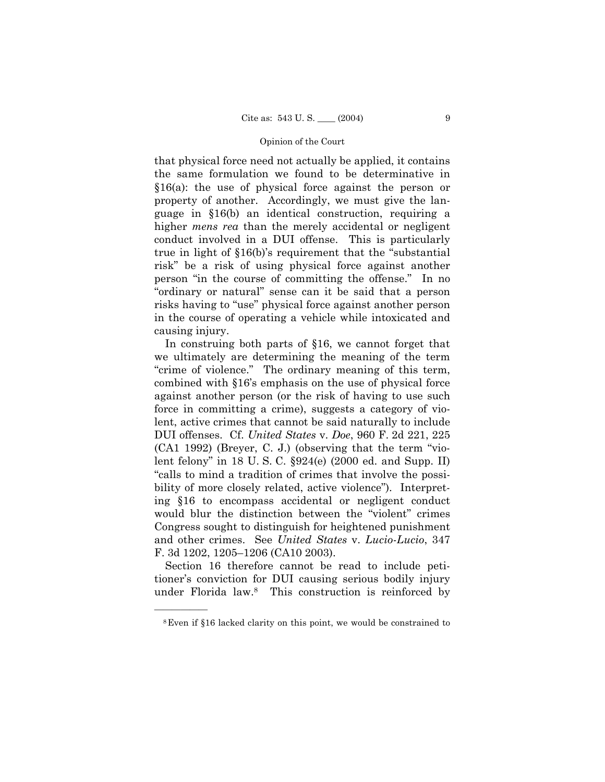that physical force need not actually be applied, it contains the same formulation we found to be determinative in  $$16(a)$$ : the use of physical force against the person or property of another. Accordingly, we must give the language in ß16(b) an identical construction, requiring a higher *mens rea* than the merely accidental or negligent conduct involved in a DUI offense. This is particularly true in light of  $$16(b)$ 's requirement that the "substantial" risk" be a risk of using physical force against another person "in the course of committing the offense." In no ìordinary or naturalî sense can it be said that a person risks having to "use" physical force against another person in the course of operating a vehicle while intoxicated and causing injury.

 In construing both parts of ß16, we cannot forget that we ultimately are determining the meaning of the term "crime of violence." The ordinary meaning of this term, combined with ß16ís emphasis on the use of physical force against another person (or the risk of having to use such force in committing a crime), suggests a category of violent, active crimes that cannot be said naturally to include DUI offenses. Cf. *United States* v. *Doe*, 960 F. 2d 221, 225  $(CA1 1992)$  (Breyer, C. J.) (observing that the term "violent felony" in 18 U.S.C.  $\S 924(e)$  (2000 ed. and Supp. II) ìcalls to mind a tradition of crimes that involve the possibility of more closely related, active violence"). Interpreting ß16 to encompass accidental or negligent conduct would blur the distinction between the "violent" crimes Congress sought to distinguish for heightened punishment and other crimes. See *United States* v. *Lucio-Lucio*, 347 F. 3d 1202, 1205-1206 (CA10 2003).

 Section 16 therefore cannot be read to include petitioner's conviction for DUI causing serious bodily injury under Florida law.8 This construction is reinforced by

<sup>8</sup>Even if ß16 lacked clarity on this point, we would be constrained to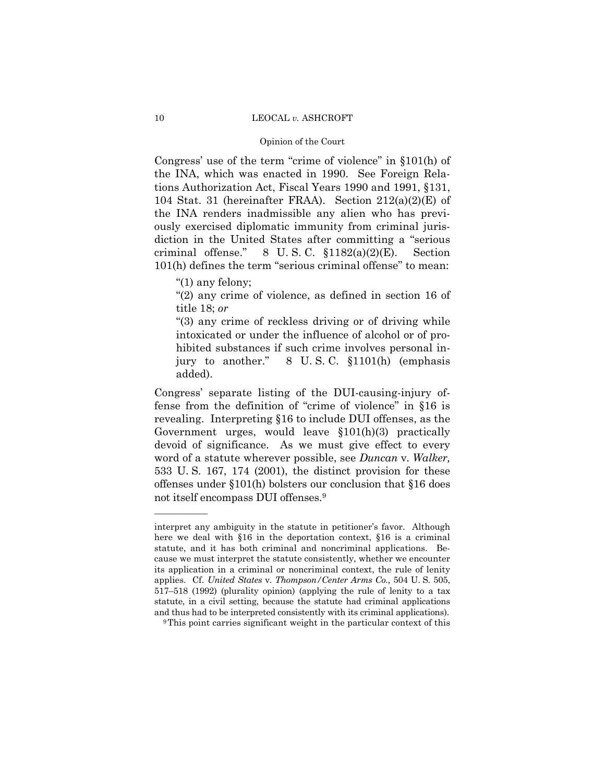#### Opinion of the Court

Congress' use of the term "crime of violence" in  $$101(h)$  of the INA, which was enacted in 1990. See Foreign Relations Authorization Act, Fiscal Years 1990 and 1991, ß131, 104 Stat. 31 (hereinafter FRAA). Section  $212(a)(2)(E)$  of the INA renders inadmissible any alien who has previously exercised diplomatic immunity from criminal jurisdiction in the United States after committing a "serious" criminal offense." 8 U.S.C.  $$1182(a)(2)(E)$ . Section  $101(h)$  defines the term "serious criminal offense" to mean:

 $"(1)$  any felony;

óóóóóó

 $\degree$ (2) any crime of violence, as defined in section 16 of title 18; *or*

ì(3) any crime of reckless driving or of driving while intoxicated or under the influence of alcohol or of prohibited substances if such crime involves personal injury to another."  $\,8\,$  U.S.C.  $\S 1101(h)$  (emphasis added).

Congressí separate listing of the DUI-causing-injury offense from the definition of "crime of violence" in  $§16$  is revealing. Interpreting ß16 to include DUI offenses, as the Government urges, would leave ß101(h)(3) practically devoid of significance. As we must give effect to every word of a statute wherever possible, see *Duncan* v. *Walker,*  533 U. S. 167, 174 (2001), the distinct provision for these offenses under ß101(h) bolsters our conclusion that ß16 does not itself encompass DUI offenses.9

interpret any ambiguity in the statute in petitioner's favor. Although here we deal with §16 in the deportation context, §16 is a criminal statute, and it has both criminal and noncriminal applications. Because we must interpret the statute consistently, whether we encounter its application in a criminal or noncriminal context, the rule of lenity applies. Cf. *United States* v. *Thompson/Center Arms Co.,* 504 U. S. 505,  $517-518$  (1992) (plurality opinion) (applying the rule of lenity to a tax statute, in a civil setting, because the statute had criminal applications and thus had to be interpreted consistently with its criminal applications). <sup>9</sup>This point carries significant weight in the particular context of this